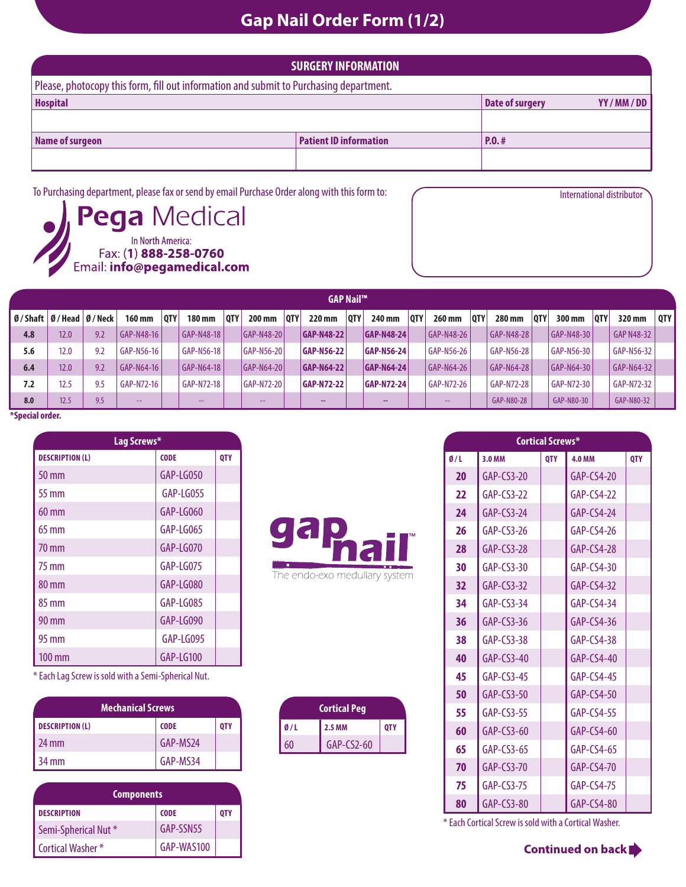## **Gap Nail Order Form (1/2)**

| <b>SURGERY INFORMATION</b>                                                             |                               |                        |          |  |  |  |
|----------------------------------------------------------------------------------------|-------------------------------|------------------------|----------|--|--|--|
| Please, photocopy this form, fill out information and submit to Purchasing department. |                               |                        |          |  |  |  |
| <b>Hospital</b>                                                                        |                               | <b>Date of surgery</b> | YY/MM/DD |  |  |  |
|                                                                                        |                               |                        |          |  |  |  |
| Name of surgeon                                                                        | <b>Patient ID information</b> | P.0.#                  |          |  |  |  |
|                                                                                        |                               |                        |          |  |  |  |
|                                                                                        |                               |                        |          |  |  |  |

To Purchasing department, please fax or send by email Purchase Order along with this form to: International distributor



|     | <b>GAP Nail™</b>                                          |     |               |            |               |            |                    |            |                   |     |                   |            |            |            |            |            |                   |            |            |       |
|-----|-----------------------------------------------------------|-----|---------------|------------|---------------|------------|--------------------|------------|-------------------|-----|-------------------|------------|------------|------------|------------|------------|-------------------|------------|------------|-------|
|     | $\emptyset$ / Shaft $\emptyset$ / Head $\emptyset$ / Neck |     | <b>160 mm</b> | <b>OTY</b> | <b>180 mm</b> | <b>OTY</b> | 200 mm             | <b>OTY</b> | 220 mm            | OTY | 240 mm            | <b>OTY</b> | 260 mm     | <b>OTY</b> | 280 mm     | <b>OTY</b> | 300 mm            | <b>OTY</b> | 320 mm     | OTY I |
| 4.8 | 12.0                                                      | 9.2 | GAP-N48-16    |            | GAP-N48-18    |            | <b>GAP-N48-201</b> |            | <b>GAP-N48-22</b> |     | <b>GAP-N48-24</b> |            | GAP-N48-26 |            | GAP-N48-28 |            | <b>GAP-N48-30</b> |            | GAP N48-32 |       |
| 5.6 | 12.0                                                      | 9.2 | GAP-N56-16    |            | GAP-N56-18    |            | GAP-N56-20         |            | <b>GAP-N56-22</b> |     | <b>GAP-N56-24</b> |            | GAP-N56-26 |            | GAP-N56-28 |            | GAP-N56-30        |            | GAP-N56-32 |       |
| 6.4 | 12.0                                                      | 9.2 | GAP-N64-16    |            | GAP-N64-18    |            | $ GAP-N64-20 $     |            | <b>GAP-N64-22</b> |     | <b>GAP-N64-24</b> |            | GAP-N64-26 |            | GAP-N64-28 |            | GAP-N64-30        |            | GAP-N64-32 |       |
| 7.2 | 12.5                                                      | 9.5 | GAP-N72-16    |            | GAP-N72-18    |            | GAP-N72-20         |            | <b>GAP-N72-22</b> |     | <b>GAP-N72-24</b> |            | GAP-N72-26 |            | GAP-N72-28 |            | GAP-N72-30        |            | GAP-N72-32 |       |
| 8.0 | 12.5                                                      | 9.5 | $\sim$ $\sim$ |            | $\sim$ $\sim$ |            | $\sim$ $\sim$      |            |                   |     |                   |            | $- -$      |            | GAP-N80-28 |            | GAP-N80-30        |            | GAP-N80-32 |       |

**\*Special order.**

| Lag Screws*            |             |     |  |  |  |
|------------------------|-------------|-----|--|--|--|
| <b>DESCRIPTION (L)</b> | <b>CODE</b> | QTY |  |  |  |
| $50 \,\mathrm{mm}$     | GAP-LG050   |     |  |  |  |
| 55 mm                  | GAP-LG055   |     |  |  |  |
| $60 \text{ mm}$        | GAP-LG060   |     |  |  |  |
| $65 \text{ mm}$        | GAP-LG065   |     |  |  |  |
| 70 mm                  | GAP-LG070   |     |  |  |  |
| 75 mm                  | GAP-LG075   |     |  |  |  |
| 80 mm                  | GAP-LG080   |     |  |  |  |
| 85 mm                  | GAP-LG085   |     |  |  |  |
| 90 mm                  | GAP-LG090   |     |  |  |  |
| 95 mm                  | GAP-LG095   |     |  |  |  |
| $100 \,\mathrm{mm}$    | GAP-LG100   |     |  |  |  |

\* Each Lag Screw is sold with a Semi-Spherical Nut.

| <b>Mechanical Screws</b> |             |            |  |  |  |
|--------------------------|-------------|------------|--|--|--|
| <b>DESCRIPTION (L)</b>   | <b>CODE</b> | <b>QTY</b> |  |  |  |
| $24 \text{ mm}$          | GAP-MS24    |            |  |  |  |
| 34 mm                    | GAP-MS34    |            |  |  |  |

| <b>Components</b>               |             |     |  |  |
|---------------------------------|-------------|-----|--|--|
| <b>DESCRIPTION</b>              | <b>CODE</b> | 0TY |  |  |
| Semi-Spherical Nut <sup>*</sup> | GAP-SSN55   |     |  |  |
| Cortical Washer *               | GAP-WAS100  |     |  |  |



|     | <b>Cortical Peg</b> |            |
|-----|---------------------|------------|
| Q/L | <b>2.5 MM</b>       | <b>OTY</b> |
| 60  | $GAP-CS2-60$        |            |

|     | <b>Cortical Screws*</b> |            |               |            |  |  |  |
|-----|-------------------------|------------|---------------|------------|--|--|--|
| 0/1 | 3.0 MM                  | <b>OTY</b> | <b>4.0 MM</b> | <b>OTY</b> |  |  |  |
| 20  | $GAP-CS3-20$            |            | $GAP-CS4-20$  |            |  |  |  |
| 22  | $GAP-CS3-22$            |            | $GAP-CS4-22$  |            |  |  |  |
| 24  | $GAP-CS3-24$            |            | $GAP-CS4-24$  |            |  |  |  |
| 26  | $GAP-CS3-26$            |            | $GAP-CS4-26$  |            |  |  |  |
| 28  | $GAP-CS3-28$            |            | $GAP-CS4-28$  |            |  |  |  |
| 30  | $GAP-CS3-30$            |            | $GAP-CS4-30$  |            |  |  |  |
| 32  | $GAP-CS3-32$            |            | $GAP-CS4-32$  |            |  |  |  |
| 34  | $GAP-CS3-34$            |            | $GAP-CS4-34$  |            |  |  |  |
| 36  | $GAP-CS3-36$            |            | $GAP-CS4-36$  |            |  |  |  |
| 38  | $GAP-CS3-38$            |            | $GAP-CS4-38$  |            |  |  |  |
| 40  | $GAP-CS3-40$            |            | $GAP-CS4-40$  |            |  |  |  |
| 45  | $GAP-CS3-45$            |            | $GAP-CS4-45$  |            |  |  |  |
| 50  | $GAP-CS3-50$            |            | $GAP-CS4-50$  |            |  |  |  |
| 55  | $GAP-CS3-55$            |            | $GAP-CS4-55$  |            |  |  |  |
| 60  | $GAP-CS3-60$            |            | $GAP-CS4-60$  |            |  |  |  |
| 65  | $GAP-CS3-65$            |            | $GAP-CS4-65$  |            |  |  |  |
| 70  | $GAP-CS3-70$            |            | $GAP-CS4-70$  |            |  |  |  |
| 75  | $GAP-CS3-75$            |            | $GAP-CS4-75$  |            |  |  |  |
| 80  | $GAP-CS3-80$            |            | $GAP-CS4-80$  |            |  |  |  |

\* Each Cortical Screw is sold with a Cortical Washer.

Continued on back